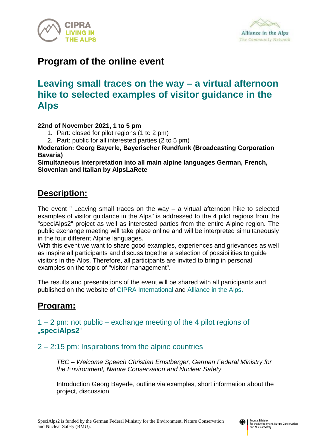



# **Program of the online event**

# **Leaving small traces on the way – a virtual afternoon hike to selected examples of visitor guidance in the Alps**

#### **22nd of November 2021, 1 to 5 pm**

- 1. Part: closed for pilot regions (1 to 2 pm)
- 2. Part: public for all interested parties (2 to 5 pm)

**Moderation: Georg Bayerle, Bayerischer Rundfunk (Broadcasting Corporation Bavaria)**

**Simultaneous interpretation into all main alpine languages German, French, Slovenian and Italian by AlpsLaRete**

## **Description:**

The event " Leaving small traces on the way – a virtual afternoon hike to selected examples of visitor guidance in the Alps" is addressed to the 4 pilot regions from the "speciAlps2" project as well as interested parties from the entire Alpine region. The public exchange meeting will take place online and will be interpreted simultaneously in the four different Alpine languages.

With this event we want to share good examples, experiences and grievances as well as inspire all participants and discuss together a selection of possibilities to guide visitors in the Alps. Therefore, all participants are invited to bring in personal examples on the topic of "visitor management".

The results and presentations of the event will be shared with all participants and published on the website of [CIPRA International](https://www.cipra.org/de/cipra/international/projekte/laufend/specialps2?set_language=de) and [Alliance in the Alps.](https://alpenallianz.org/de/projekte/specialps2/)

## **Program:**

1 – 2 pm: not public – exchange meeting of the 4 pilot regions of "**[speciAlps2](https://www.cipra.org/de/cipra/international/projekte/laufend/specialps2?set_language=de)**"

2 – 2:15 pm: Inspirations from the alpine countries

*TBC – Welcome Speech Christian Ernstberger, German Federal Ministry for the Environment, Nature Conservation and Nuclear Safety*

Introduction Georg Bayerle, outline via examples, short information about the project, discussion

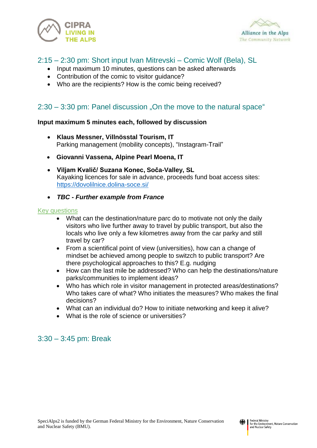



## 2:15 – 2:30 pm: Short input Ivan Mitrevski – Comic Wolf (Bela), SL

- Input maximum 10 minutes, questions can be asked afterwards
- Contribution of the comic to visitor quidance?
- Who are the recipients? How is the comic being received?

### $2:30 - 3:30$  pm: Panel discussion "On the move to the natural space"

#### **Input maximum 5 minutes each, followed by discussion**

- **Klaus Messner, Villnösstal Tourism, IT** Parking management (mobility concepts), "Instagram-Trail"
- **Giovanni Vassena, Alpine Pearl Moena, IT**
- **Viljam Kvalič/ Suzana Konec, Soča-Valley, SL** Kayaking licences for sale in advance, proceeds fund boat access sites: <https://dovolilnice.dolina-soce.si/>
- *TBC - Further example from France*

#### Key questions

- What can the destination/nature parc do to motivate not only the daily visitors who live further away to travel by public transport, but also the locals who live only a few kilometres away from the car parky and still travel by car?
- From a scientifical point of view (universities), how can a change of mindset be achieved among people to switzch to public transport? Are there psychological approaches to this? E.g. nudging
- How can the last mile be addressed? Who can help the destinations/nature parks/communities to implement ideas?
- Who has which role in visitor management in protected areas/destinations? Who takes care of what? Who initiates the measures? Who makes the final decisions?
- What can an individual do? How to initiate networking and keep it alive?
- What is the role of science or universities?

### 3:30 – 3:45 pm: Break